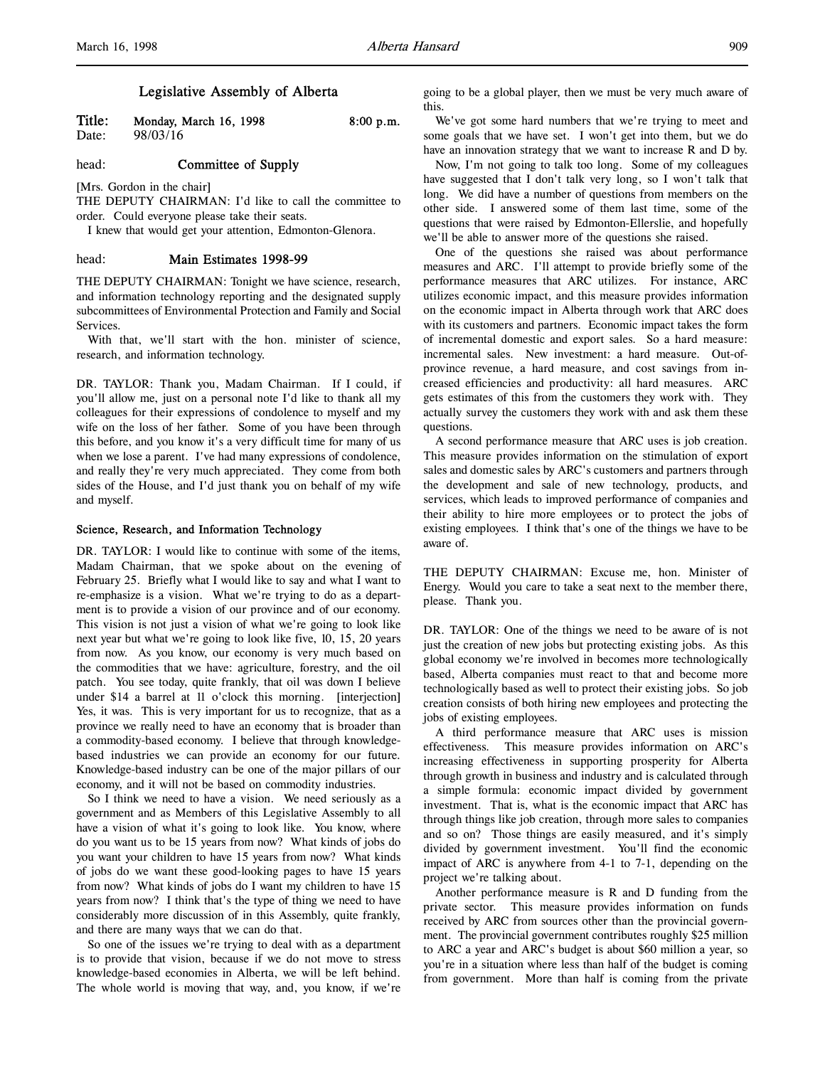# Legislative Assembly of Alberta

**Title:** Monday, March 16, 1998 8:00 p.m.<br>Date: 98/03/16 98/03/16

head: **Committee of Supply** 

[Mrs. Gordon in the chair]

THE DEPUTY CHAIRMAN: I'd like to call the committee to order. Could everyone please take their seats.

I knew that would get your attention, Edmonton-Glenora.

### head: Main Estimates 1998-99

THE DEPUTY CHAIRMAN: Tonight we have science, research, and information technology reporting and the designated supply subcommittees of Environmental Protection and Family and Social Services.

With that, we'll start with the hon. minister of science, research, and information technology.

DR. TAYLOR: Thank you, Madam Chairman. If I could, if you'll allow me, just on a personal note I'd like to thank all my colleagues for their expressions of condolence to myself and my wife on the loss of her father. Some of you have been through this before, and you know it's a very difficult time for many of us when we lose a parent. I've had many expressions of condolence, and really they're very much appreciated. They come from both sides of the House, and I'd just thank you on behalf of my wife and myself.

#### Science, Research, and Information Technology

DR. TAYLOR: I would like to continue with some of the items, Madam Chairman, that we spoke about on the evening of February 25. Briefly what I would like to say and what I want to re-emphasize is a vision. What we're trying to do as a department is to provide a vision of our province and of our economy. This vision is not just a vision of what we're going to look like next year but what we're going to look like five, 10, 15, 20 years from now. As you know, our economy is very much based on the commodities that we have: agriculture, forestry, and the oil patch. You see today, quite frankly, that oil was down I believe under \$14 a barrel at 11 o'clock this morning. [interjection] Yes, it was. This is very important for us to recognize, that as a province we really need to have an economy that is broader than a commodity-based economy. I believe that through knowledgebased industries we can provide an economy for our future. Knowledge-based industry can be one of the major pillars of our economy, and it will not be based on commodity industries.

So I think we need to have a vision. We need seriously as a government and as Members of this Legislative Assembly to all have a vision of what it's going to look like. You know, where do you want us to be 15 years from now? What kinds of jobs do you want your children to have 15 years from now? What kinds of jobs do we want these good-looking pages to have 15 years from now? What kinds of jobs do I want my children to have 15 years from now? I think that's the type of thing we need to have considerably more discussion of in this Assembly, quite frankly, and there are many ways that we can do that.

So one of the issues we're trying to deal with as a department is to provide that vision, because if we do not move to stress knowledge-based economies in Alberta, we will be left behind. The whole world is moving that way, and, you know, if we're

going to be a global player, then we must be very much aware of this.

We've got some hard numbers that we're trying to meet and some goals that we have set. I won't get into them, but we do have an innovation strategy that we want to increase R and D by.

Now, I'm not going to talk too long. Some of my colleagues have suggested that I don't talk very long, so I won't talk that long. We did have a number of questions from members on the other side. I answered some of them last time, some of the questions that were raised by Edmonton-Ellerslie, and hopefully we'll be able to answer more of the questions she raised.

One of the questions she raised was about performance measures and ARC. I'll attempt to provide briefly some of the performance measures that ARC utilizes. For instance, ARC utilizes economic impact, and this measure provides information on the economic impact in Alberta through work that ARC does with its customers and partners. Economic impact takes the form of incremental domestic and export sales. So a hard measure: incremental sales. New investment: a hard measure. Out-ofprovince revenue, a hard measure, and cost savings from increased efficiencies and productivity: all hard measures. ARC gets estimates of this from the customers they work with. They actually survey the customers they work with and ask them these questions.

A second performance measure that ARC uses is job creation. This measure provides information on the stimulation of export sales and domestic sales by ARC's customers and partners through the development and sale of new technology, products, and services, which leads to improved performance of companies and their ability to hire more employees or to protect the jobs of existing employees. I think that's one of the things we have to be aware of.

THE DEPUTY CHAIRMAN: Excuse me, hon. Minister of Energy. Would you care to take a seat next to the member there, please. Thank you.

DR. TAYLOR: One of the things we need to be aware of is not just the creation of new jobs but protecting existing jobs. As this global economy we're involved in becomes more technologically based, Alberta companies must react to that and become more technologically based as well to protect their existing jobs. So job creation consists of both hiring new employees and protecting the jobs of existing employees.

A third performance measure that ARC uses is mission effectiveness. This measure provides information on ARC's increasing effectiveness in supporting prosperity for Alberta through growth in business and industry and is calculated through a simple formula: economic impact divided by government investment. That is, what is the economic impact that ARC has through things like job creation, through more sales to companies and so on? Those things are easily measured, and it's simply divided by government investment. You'll find the economic impact of ARC is anywhere from 4-1 to 7-1, depending on the project we're talking about.

Another performance measure is R and D funding from the private sector. This measure provides information on funds received by ARC from sources other than the provincial government. The provincial government contributes roughly \$25 million to ARC a year and ARC's budget is about \$60 million a year, so you're in a situation where less than half of the budget is coming from government. More than half is coming from the private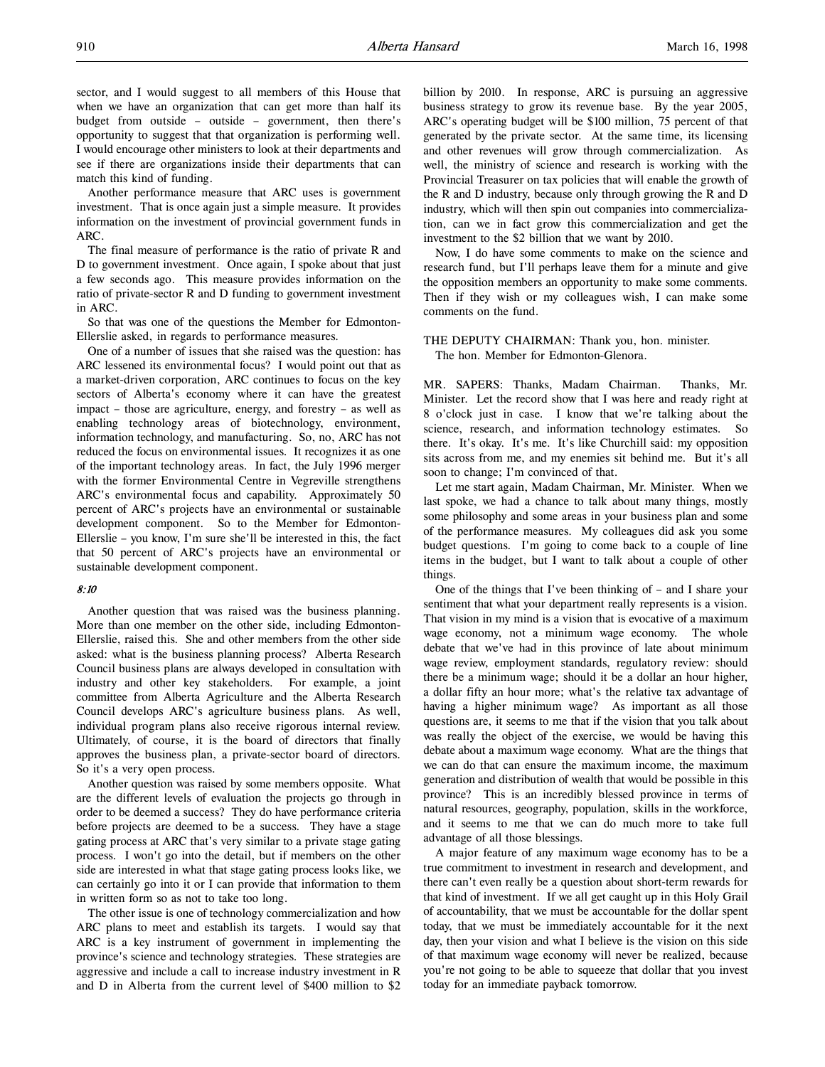sector, and I would suggest to all members of this House that when we have an organization that can get more than half its budget from outside – outside – government, then there's opportunity to suggest that that organization is performing well. I would encourage other ministers to look at their departments and see if there are organizations inside their departments that can match this kind of funding.

Another performance measure that ARC uses is government investment. That is once again just a simple measure. It provides information on the investment of provincial government funds in ARC.

The final measure of performance is the ratio of private R and D to government investment. Once again, I spoke about that just a few seconds ago. This measure provides information on the ratio of private-sector R and D funding to government investment in ARC.

So that was one of the questions the Member for Edmonton-Ellerslie asked, in regards to performance measures.

One of a number of issues that she raised was the question: has ARC lessened its environmental focus? I would point out that as a market-driven corporation, ARC continues to focus on the key sectors of Alberta's economy where it can have the greatest impact – those are agriculture, energy, and forestry – as well as enabling technology areas of biotechnology, environment, information technology, and manufacturing. So, no, ARC has not reduced the focus on environmental issues. It recognizes it as one of the important technology areas. In fact, the July 1996 merger with the former Environmental Centre in Vegreville strengthens ARC's environmental focus and capability. Approximately 50 percent of ARC's projects have an environmental or sustainable development component. So to the Member for Edmonton-Ellerslie – you know, I'm sure she'll be interested in this, the fact that 50 percent of ARC's projects have an environmental or sustainable development component.

#### 8:10

Another question that was raised was the business planning. More than one member on the other side, including Edmonton-Ellerslie, raised this. She and other members from the other side asked: what is the business planning process? Alberta Research Council business plans are always developed in consultation with industry and other key stakeholders. For example, a joint committee from Alberta Agriculture and the Alberta Research Council develops ARC's agriculture business plans. As well, individual program plans also receive rigorous internal review. Ultimately, of course, it is the board of directors that finally approves the business plan, a private-sector board of directors. So it's a very open process.

Another question was raised by some members opposite. What are the different levels of evaluation the projects go through in order to be deemed a success? They do have performance criteria before projects are deemed to be a success. They have a stage gating process at ARC that's very similar to a private stage gating process. I won't go into the detail, but if members on the other side are interested in what that stage gating process looks like, we can certainly go into it or I can provide that information to them in written form so as not to take too long.

The other issue is one of technology commercialization and how ARC plans to meet and establish its targets. I would say that ARC is a key instrument of government in implementing the province's science and technology strategies. These strategies are aggressive and include a call to increase industry investment in R and D in Alberta from the current level of \$400 million to \$2

billion by 2010. In response, ARC is pursuing an aggressive business strategy to grow its revenue base. By the year 2005, ARC's operating budget will be \$100 million, 75 percent of that generated by the private sector. At the same time, its licensing and other revenues will grow through commercialization. As well, the ministry of science and research is working with the Provincial Treasurer on tax policies that will enable the growth of the R and D industry, because only through growing the R and D industry, which will then spin out companies into commercialization, can we in fact grow this commercialization and get the investment to the \$2 billion that we want by 2010.

Now, I do have some comments to make on the science and research fund, but I'll perhaps leave them for a minute and give the opposition members an opportunity to make some comments. Then if they wish or my colleagues wish, I can make some comments on the fund.

THE DEPUTY CHAIRMAN: Thank you, hon. minister. The hon. Member for Edmonton-Glenora.

MR. SAPERS: Thanks, Madam Chairman. Thanks, Mr. Minister. Let the record show that I was here and ready right at 8 o'clock just in case. I know that we're talking about the science, research, and information technology estimates. So there. It's okay. It's me. It's like Churchill said: my opposition sits across from me, and my enemies sit behind me. But it's all soon to change; I'm convinced of that.

Let me start again, Madam Chairman, Mr. Minister. When we last spoke, we had a chance to talk about many things, mostly some philosophy and some areas in your business plan and some of the performance measures. My colleagues did ask you some budget questions. I'm going to come back to a couple of line items in the budget, but I want to talk about a couple of other things.

One of the things that I've been thinking of – and I share your sentiment that what your department really represents is a vision. That vision in my mind is a vision that is evocative of a maximum wage economy, not a minimum wage economy. The whole debate that we've had in this province of late about minimum wage review, employment standards, regulatory review: should there be a minimum wage; should it be a dollar an hour higher, a dollar fifty an hour more; what's the relative tax advantage of having a higher minimum wage? As important as all those questions are, it seems to me that if the vision that you talk about was really the object of the exercise, we would be having this debate about a maximum wage economy. What are the things that we can do that can ensure the maximum income, the maximum generation and distribution of wealth that would be possible in this province? This is an incredibly blessed province in terms of natural resources, geography, population, skills in the workforce, and it seems to me that we can do much more to take full advantage of all those blessings.

A major feature of any maximum wage economy has to be a true commitment to investment in research and development, and there can't even really be a question about short-term rewards for that kind of investment. If we all get caught up in this Holy Grail of accountability, that we must be accountable for the dollar spent today, that we must be immediately accountable for it the next day, then your vision and what I believe is the vision on this side of that maximum wage economy will never be realized, because you're not going to be able to squeeze that dollar that you invest today for an immediate payback tomorrow.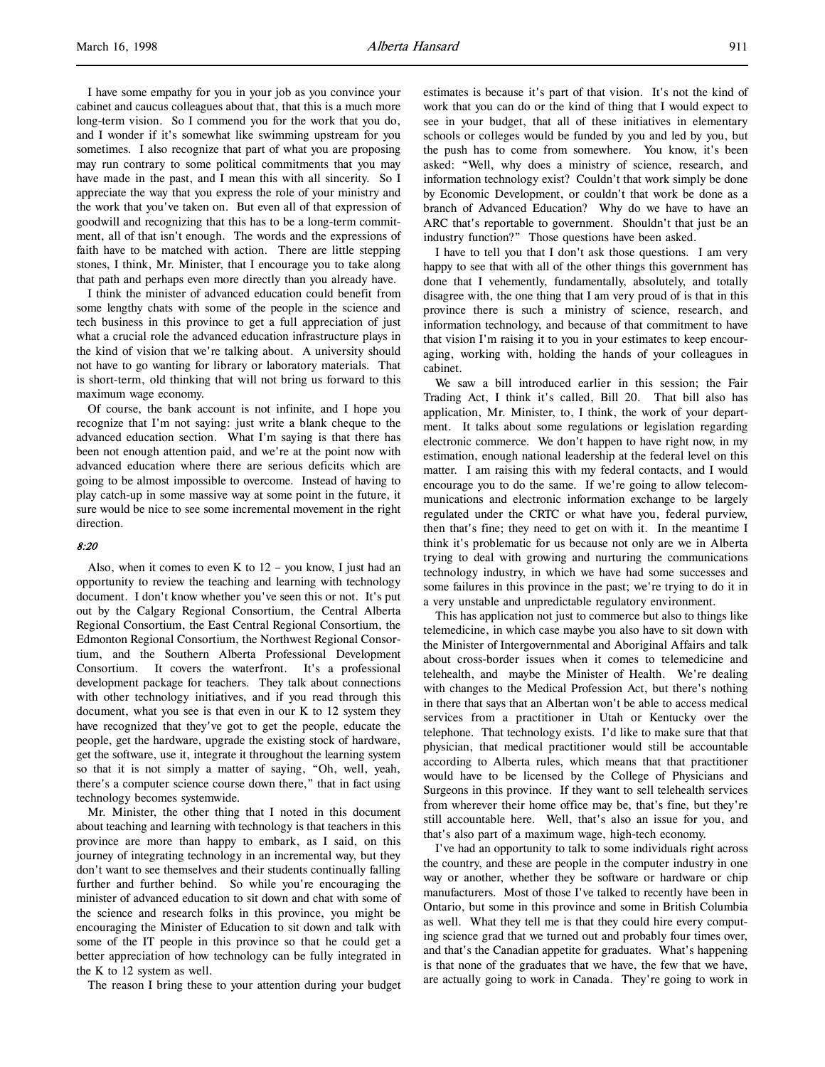I have some empathy for you in your job as you convince your cabinet and caucus colleagues about that, that this is a much more long-term vision. So I commend you for the work that you do, and I wonder if it's somewhat like swimming upstream for you sometimes. I also recognize that part of what you are proposing may run contrary to some political commitments that you may have made in the past, and I mean this with all sincerity. So I appreciate the way that you express the role of your ministry and the work that you've taken on. But even all of that expression of goodwill and recognizing that this has to be a long-term commitment, all of that isn't enough. The words and the expressions of faith have to be matched with action. There are little stepping stones, I think, Mr. Minister, that I encourage you to take along that path and perhaps even more directly than you already have.

I think the minister of advanced education could benefit from some lengthy chats with some of the people in the science and tech business in this province to get a full appreciation of just what a crucial role the advanced education infrastructure plays in the kind of vision that we're talking about. A university should not have to go wanting for library or laboratory materials. That is short-term, old thinking that will not bring us forward to this maximum wage economy.

Of course, the bank account is not infinite, and I hope you recognize that I'm not saying: just write a blank cheque to the advanced education section. What I'm saying is that there has been not enough attention paid, and we're at the point now with advanced education where there are serious deficits which are going to be almost impossible to overcome. Instead of having to play catch-up in some massive way at some point in the future, it sure would be nice to see some incremental movement in the right direction.

### 8:20

Also, when it comes to even K to  $12$  – you know, I just had an opportunity to review the teaching and learning with technology document. I don't know whether you've seen this or not. It's put out by the Calgary Regional Consortium, the Central Alberta Regional Consortium, the East Central Regional Consortium, the Edmonton Regional Consortium, the Northwest Regional Consortium, and the Southern Alberta Professional Development Consortium. It covers the waterfront. It's a professional development package for teachers. They talk about connections with other technology initiatives, and if you read through this document, what you see is that even in our K to 12 system they have recognized that they've got to get the people, educate the people, get the hardware, upgrade the existing stock of hardware, get the software, use it, integrate it throughout the learning system so that it is not simply a matter of saying, "Oh, well, yeah, there's a computer science course down there," that in fact using technology becomes systemwide.

Mr. Minister, the other thing that I noted in this document about teaching and learning with technology is that teachers in this province are more than happy to embark, as I said, on this journey of integrating technology in an incremental way, but they don't want to see themselves and their students continually falling further and further behind. So while you're encouraging the minister of advanced education to sit down and chat with some of the science and research folks in this province, you might be encouraging the Minister of Education to sit down and talk with some of the IT people in this province so that he could get a better appreciation of how technology can be fully integrated in the K to 12 system as well.

The reason I bring these to your attention during your budget

estimates is because it's part of that vision. It's not the kind of work that you can do or the kind of thing that I would expect to see in your budget, that all of these initiatives in elementary schools or colleges would be funded by you and led by you, but the push has to come from somewhere. You know, it's been asked: "Well, why does a ministry of science, research, and information technology exist? Couldn't that work simply be done by Economic Development, or couldn't that work be done as a branch of Advanced Education? Why do we have to have an ARC that's reportable to government. Shouldn't that just be an industry function?" Those questions have been asked.

I have to tell you that I don't ask those questions. I am very happy to see that with all of the other things this government has done that I vehemently, fundamentally, absolutely, and totally disagree with, the one thing that I am very proud of is that in this province there is such a ministry of science, research, and information technology, and because of that commitment to have that vision I'm raising it to you in your estimates to keep encouraging, working with, holding the hands of your colleagues in cabinet.

We saw a bill introduced earlier in this session; the Fair Trading Act, I think it's called, Bill 20. That bill also has application, Mr. Minister, to, I think, the work of your department. It talks about some regulations or legislation regarding electronic commerce. We don't happen to have right now, in my estimation, enough national leadership at the federal level on this matter. I am raising this with my federal contacts, and I would encourage you to do the same. If we're going to allow telecommunications and electronic information exchange to be largely regulated under the CRTC or what have you, federal purview, then that's fine; they need to get on with it. In the meantime I think it's problematic for us because not only are we in Alberta trying to deal with growing and nurturing the communications technology industry, in which we have had some successes and some failures in this province in the past; we're trying to do it in a very unstable and unpredictable regulatory environment.

This has application not just to commerce but also to things like telemedicine, in which case maybe you also have to sit down with the Minister of Intergovernmental and Aboriginal Affairs and talk about cross-border issues when it comes to telemedicine and telehealth, and maybe the Minister of Health. We're dealing with changes to the Medical Profession Act, but there's nothing in there that says that an Albertan won't be able to access medical services from a practitioner in Utah or Kentucky over the telephone. That technology exists. I'd like to make sure that that physician, that medical practitioner would still be accountable according to Alberta rules, which means that that practitioner would have to be licensed by the College of Physicians and Surgeons in this province. If they want to sell telehealth services from wherever their home office may be, that's fine, but they're still accountable here. Well, that's also an issue for you, and that's also part of a maximum wage, high-tech economy.

I've had an opportunity to talk to some individuals right across the country, and these are people in the computer industry in one way or another, whether they be software or hardware or chip manufacturers. Most of those I've talked to recently have been in Ontario, but some in this province and some in British Columbia as well. What they tell me is that they could hire every computing science grad that we turned out and probably four times over, and that's the Canadian appetite for graduates. What's happening is that none of the graduates that we have, the few that we have, are actually going to work in Canada. They're going to work in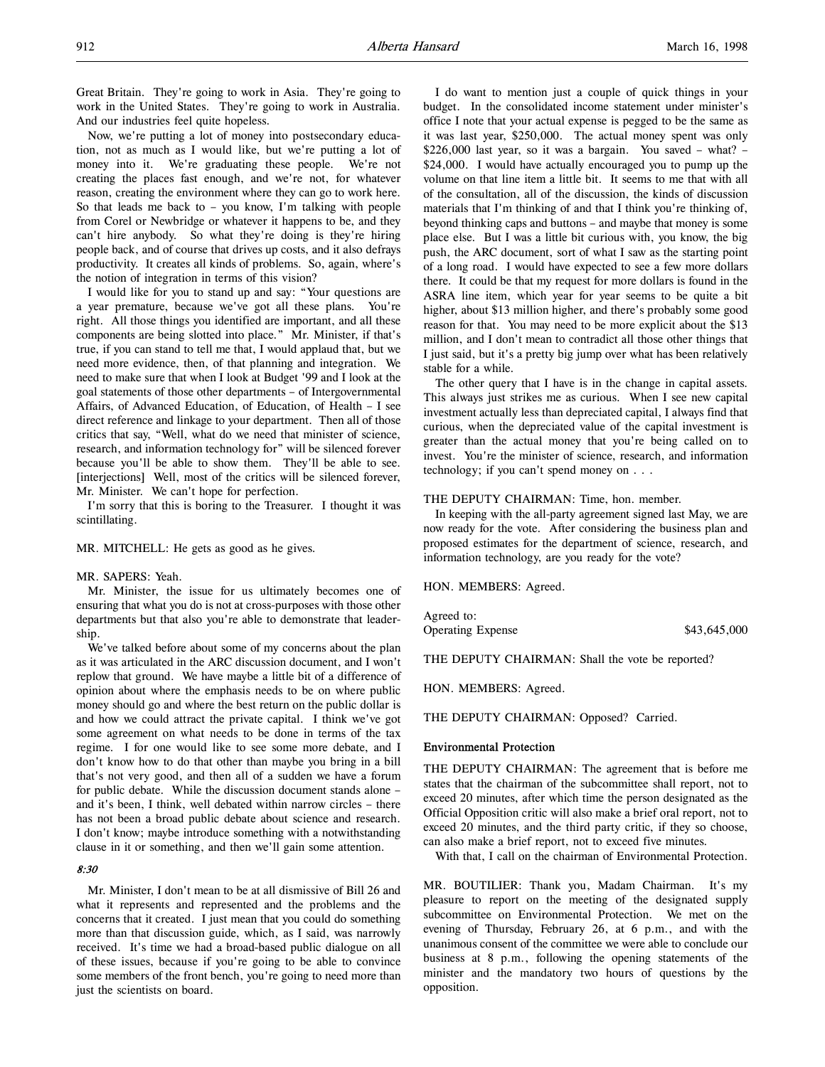Great Britain. They're going to work in Asia. They're going to work in the United States. They're going to work in Australia. And our industries feel quite hopeless.

Now, we're putting a lot of money into postsecondary education, not as much as I would like, but we're putting a lot of money into it. We're graduating these people. We're not creating the places fast enough, and we're not, for whatever reason, creating the environment where they can go to work here. So that leads me back to – you know, I'm talking with people from Corel or Newbridge or whatever it happens to be, and they can't hire anybody. So what they're doing is they're hiring people back, and of course that drives up costs, and it also defrays productivity. It creates all kinds of problems. So, again, where's the notion of integration in terms of this vision?

I would like for you to stand up and say: "Your questions are a year premature, because we've got all these plans. You're right. All those things you identified are important, and all these components are being slotted into place." Mr. Minister, if that's true, if you can stand to tell me that, I would applaud that, but we need more evidence, then, of that planning and integration. We need to make sure that when I look at Budget '99 and I look at the goal statements of those other departments – of Intergovernmental Affairs, of Advanced Education, of Education, of Health – I see direct reference and linkage to your department. Then all of those critics that say, "Well, what do we need that minister of science, research, and information technology for" will be silenced forever because you'll be able to show them. They'll be able to see. [interjections] Well, most of the critics will be silenced forever, Mr. Minister. We can't hope for perfection.

I'm sorry that this is boring to the Treasurer. I thought it was scintillating.

MR. MITCHELL: He gets as good as he gives.

### MR. SAPERS: Yeah.

Mr. Minister, the issue for us ultimately becomes one of ensuring that what you do is not at cross-purposes with those other departments but that also you're able to demonstrate that leadership.

We've talked before about some of my concerns about the plan as it was articulated in the ARC discussion document, and I won't replow that ground. We have maybe a little bit of a difference of opinion about where the emphasis needs to be on where public money should go and where the best return on the public dollar is and how we could attract the private capital. I think we've got some agreement on what needs to be done in terms of the tax regime. I for one would like to see some more debate, and I don't know how to do that other than maybe you bring in a bill that's not very good, and then all of a sudden we have a forum for public debate. While the discussion document stands alone – and it's been, I think, well debated within narrow circles – there has not been a broad public debate about science and research. I don't know; maybe introduce something with a notwithstanding clause in it or something, and then we'll gain some attention.

## 8:30

Mr. Minister, I don't mean to be at all dismissive of Bill 26 and what it represents and represented and the problems and the concerns that it created. I just mean that you could do something more than that discussion guide, which, as I said, was narrowly received. It's time we had a broad-based public dialogue on all of these issues, because if you're going to be able to convince some members of the front bench, you're going to need more than just the scientists on board.

I do want to mention just a couple of quick things in your budget. In the consolidated income statement under minister's office I note that your actual expense is pegged to be the same as it was last year, \$250,000. The actual money spent was only \$226,000 last year, so it was a bargain. You saved – what? – \$24,000. I would have actually encouraged you to pump up the volume on that line item a little bit. It seems to me that with all of the consultation, all of the discussion, the kinds of discussion materials that I'm thinking of and that I think you're thinking of, beyond thinking caps and buttons – and maybe that money is some place else. But I was a little bit curious with, you know, the big push, the ARC document, sort of what I saw as the starting point of a long road. I would have expected to see a few more dollars there. It could be that my request for more dollars is found in the ASRA line item, which year for year seems to be quite a bit higher, about \$13 million higher, and there's probably some good reason for that. You may need to be more explicit about the \$13 million, and I don't mean to contradict all those other things that I just said, but it's a pretty big jump over what has been relatively stable for a while.

The other query that I have is in the change in capital assets. This always just strikes me as curious. When I see new capital investment actually less than depreciated capital, I always find that curious, when the depreciated value of the capital investment is greater than the actual money that you're being called on to invest. You're the minister of science, research, and information technology; if you can't spend money on . . .

#### THE DEPUTY CHAIRMAN: Time, hon. member.

In keeping with the all-party agreement signed last May, we are now ready for the vote. After considering the business plan and proposed estimates for the department of science, research, and information technology, are you ready for the vote?

HON. MEMBERS: Agreed.

Agreed to:

Operating Expense \$43,645,000

THE DEPUTY CHAIRMAN: Shall the vote be reported?

HON. MEMBERS: Agreed.

THE DEPUTY CHAIRMAN: Opposed? Carried.

## Environmental Protection

THE DEPUTY CHAIRMAN: The agreement that is before me states that the chairman of the subcommittee shall report, not to exceed 20 minutes, after which time the person designated as the Official Opposition critic will also make a brief oral report, not to exceed 20 minutes, and the third party critic, if they so choose, can also make a brief report, not to exceed five minutes.

With that, I call on the chairman of Environmental Protection.

MR. BOUTILIER: Thank you, Madam Chairman. It's my pleasure to report on the meeting of the designated supply subcommittee on Environmental Protection. We met on the evening of Thursday, February 26, at 6 p.m., and with the unanimous consent of the committee we were able to conclude our business at 8 p.m., following the opening statements of the minister and the mandatory two hours of questions by the opposition.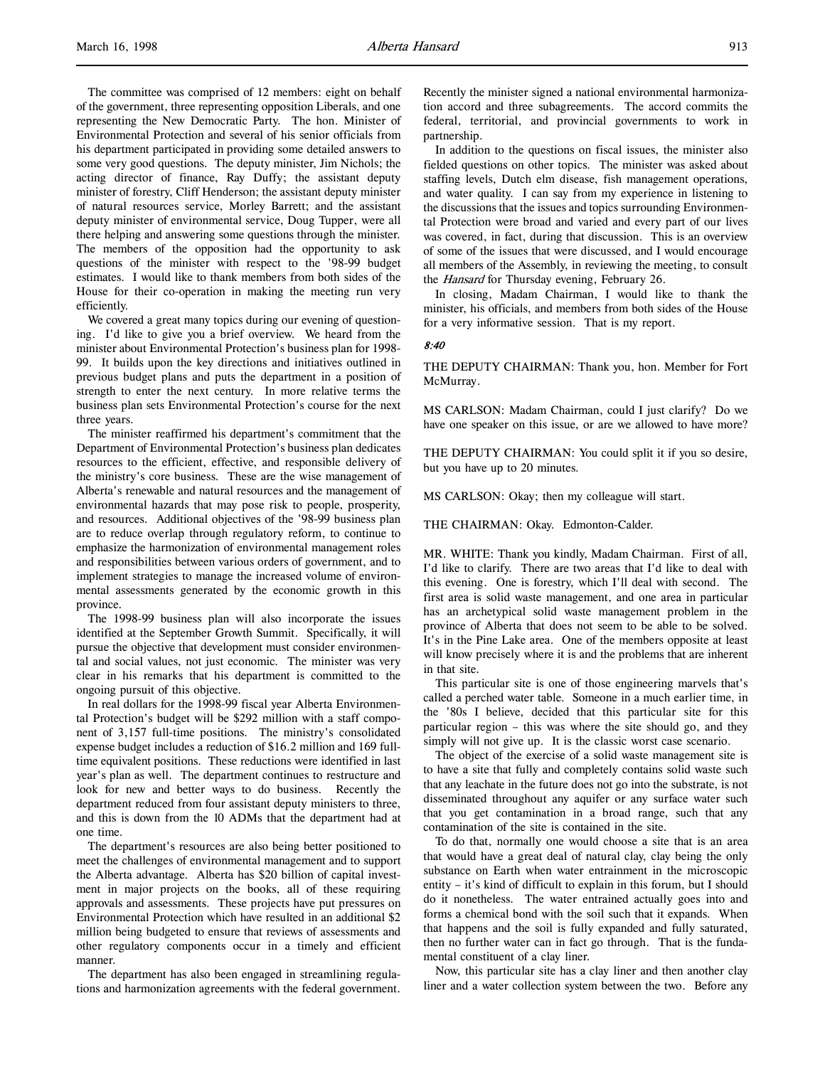The committee was comprised of 12 members: eight on behalf of the government, three representing opposition Liberals, and one representing the New Democratic Party. The hon. Minister of Environmental Protection and several of his senior officials from his department participated in providing some detailed answers to some very good questions. The deputy minister, Jim Nichols; the acting director of finance, Ray Duffy; the assistant deputy minister of forestry, Cliff Henderson; the assistant deputy minister of natural resources service, Morley Barrett; and the assistant deputy minister of environmental service, Doug Tupper, were all there helping and answering some questions through the minister. The members of the opposition had the opportunity to ask questions of the minister with respect to the '98-99 budget estimates. I would like to thank members from both sides of the House for their co-operation in making the meeting run very efficiently.

We covered a great many topics during our evening of questioning. I'd like to give you a brief overview. We heard from the minister about Environmental Protection's business plan for 1998- 99. It builds upon the key directions and initiatives outlined in previous budget plans and puts the department in a position of strength to enter the next century. In more relative terms the business plan sets Environmental Protection's course for the next three years.

The minister reaffirmed his department's commitment that the Department of Environmental Protection's business plan dedicates resources to the efficient, effective, and responsible delivery of the ministry's core business. These are the wise management of Alberta's renewable and natural resources and the management of environmental hazards that may pose risk to people, prosperity, and resources. Additional objectives of the '98-99 business plan are to reduce overlap through regulatory reform, to continue to emphasize the harmonization of environmental management roles and responsibilities between various orders of government, and to implement strategies to manage the increased volume of environmental assessments generated by the economic growth in this province.

The 1998-99 business plan will also incorporate the issues identified at the September Growth Summit. Specifically, it will pursue the objective that development must consider environmental and social values, not just economic. The minister was very clear in his remarks that his department is committed to the ongoing pursuit of this objective.

In real dollars for the 1998-99 fiscal year Alberta Environmental Protection's budget will be \$292 million with a staff component of 3,157 full-time positions. The ministry's consolidated expense budget includes a reduction of \$16.2 million and 169 fulltime equivalent positions. These reductions were identified in last year's plan as well. The department continues to restructure and look for new and better ways to do business. Recently the department reduced from four assistant deputy ministers to three, and this is down from the 10 ADMs that the department had at one time.

The department's resources are also being better positioned to meet the challenges of environmental management and to support the Alberta advantage. Alberta has \$20 billion of capital investment in major projects on the books, all of these requiring approvals and assessments. These projects have put pressures on Environmental Protection which have resulted in an additional \$2 million being budgeted to ensure that reviews of assessments and other regulatory components occur in a timely and efficient manner.

The department has also been engaged in streamlining regulations and harmonization agreements with the federal government. Recently the minister signed a national environmental harmonization accord and three subagreements. The accord commits the federal, territorial, and provincial governments to work in partnership.

In addition to the questions on fiscal issues, the minister also fielded questions on other topics. The minister was asked about staffing levels, Dutch elm disease, fish management operations, and water quality. I can say from my experience in listening to the discussions that the issues and topics surrounding Environmental Protection were broad and varied and every part of our lives was covered, in fact, during that discussion. This is an overview of some of the issues that were discussed, and I would encourage all members of the Assembly, in reviewing the meeting, to consult the *Hansard* for Thursday evening, February 26.

In closing, Madam Chairman, I would like to thank the minister, his officials, and members from both sides of the House for a very informative session. That is my report.

### 8:40

THE DEPUTY CHAIRMAN: Thank you, hon. Member for Fort McMurray.

MS CARLSON: Madam Chairman, could I just clarify? Do we have one speaker on this issue, or are we allowed to have more?

THE DEPUTY CHAIRMAN: You could split it if you so desire, but you have up to 20 minutes.

MS CARLSON: Okay; then my colleague will start.

THE CHAIRMAN: Okay. Edmonton-Calder.

MR. WHITE: Thank you kindly, Madam Chairman. First of all, I'd like to clarify. There are two areas that I'd like to deal with this evening. One is forestry, which I'll deal with second. The first area is solid waste management, and one area in particular has an archetypical solid waste management problem in the province of Alberta that does not seem to be able to be solved. It's in the Pine Lake area. One of the members opposite at least will know precisely where it is and the problems that are inherent in that site.

This particular site is one of those engineering marvels that's called a perched water table. Someone in a much earlier time, in the '80s I believe, decided that this particular site for this particular region – this was where the site should go, and they simply will not give up. It is the classic worst case scenario.

The object of the exercise of a solid waste management site is to have a site that fully and completely contains solid waste such that any leachate in the future does not go into the substrate, is not disseminated throughout any aquifer or any surface water such that you get contamination in a broad range, such that any contamination of the site is contained in the site.

To do that, normally one would choose a site that is an area that would have a great deal of natural clay, clay being the only substance on Earth when water entrainment in the microscopic entity – it's kind of difficult to explain in this forum, but I should do it nonetheless. The water entrained actually goes into and forms a chemical bond with the soil such that it expands. When that happens and the soil is fully expanded and fully saturated, then no further water can in fact go through. That is the fundamental constituent of a clay liner.

Now, this particular site has a clay liner and then another clay liner and a water collection system between the two. Before any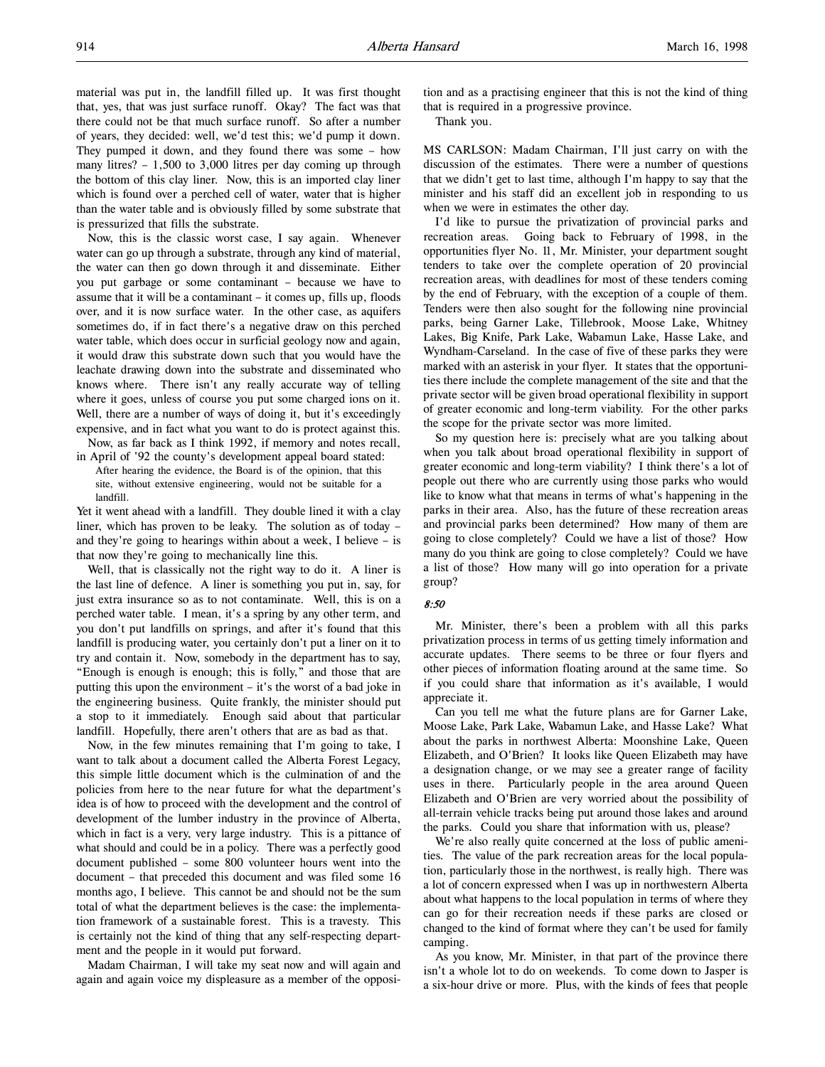material was put in, the landfill filled up. It was first thought that, yes, that was just surface runoff. Okay? The fact was that there could not be that much surface runoff. So after a number of years, they decided: well, we'd test this; we'd pump it down. They pumped it down, and they found there was some – how many litres? – 1,500 to 3,000 litres per day coming up through the bottom of this clay liner. Now, this is an imported clay liner which is found over a perched cell of water, water that is higher than the water table and is obviously filled by some substrate that is pressurized that fills the substrate.

Now, this is the classic worst case, I say again. Whenever water can go up through a substrate, through any kind of material, the water can then go down through it and disseminate. Either you put garbage or some contaminant – because we have to assume that it will be a contaminant – it comes up, fills up, floods over, and it is now surface water. In the other case, as aquifers sometimes do, if in fact there's a negative draw on this perched water table, which does occur in surficial geology now and again, it would draw this substrate down such that you would have the leachate drawing down into the substrate and disseminated who knows where. There isn't any really accurate way of telling where it goes, unless of course you put some charged ions on it. Well, there are a number of ways of doing it, but it's exceedingly expensive, and in fact what you want to do is protect against this.

Now, as far back as I think 1992, if memory and notes recall, in April of '92 the county's development appeal board stated:

After hearing the evidence, the Board is of the opinion, that this site, without extensive engineering, would not be suitable for a landfill.

Yet it went ahead with a landfill. They double lined it with a clay liner, which has proven to be leaky. The solution as of today – and they're going to hearings within about a week, I believe – is that now they're going to mechanically line this.

Well, that is classically not the right way to do it. A liner is the last line of defence. A liner is something you put in, say, for just extra insurance so as to not contaminate. Well, this is on a perched water table. I mean, it's a spring by any other term, and you don't put landfills on springs, and after it's found that this landfill is producing water, you certainly don't put a liner on it to try and contain it. Now, somebody in the department has to say, "Enough is enough is enough; this is folly," and those that are putting this upon the environment – it's the worst of a bad joke in the engineering business. Quite frankly, the minister should put a stop to it immediately. Enough said about that particular landfill. Hopefully, there aren't others that are as bad as that.

Now, in the few minutes remaining that I'm going to take, I want to talk about a document called the Alberta Forest Legacy, this simple little document which is the culmination of and the policies from here to the near future for what the department's idea is of how to proceed with the development and the control of development of the lumber industry in the province of Alberta, which in fact is a very, very large industry. This is a pittance of what should and could be in a policy. There was a perfectly good document published – some 800 volunteer hours went into the document – that preceded this document and was filed some 16 months ago, I believe. This cannot be and should not be the sum total of what the department believes is the case: the implementation framework of a sustainable forest. This is a travesty. This is certainly not the kind of thing that any self-respecting department and the people in it would put forward.

Madam Chairman, I will take my seat now and will again and again and again voice my displeasure as a member of the opposition and as a practising engineer that this is not the kind of thing that is required in a progressive province.

Thank you.

MS CARLSON: Madam Chairman, I'll just carry on with the discussion of the estimates. There were a number of questions that we didn't get to last time, although I'm happy to say that the minister and his staff did an excellent job in responding to us when we were in estimates the other day.

I'd like to pursue the privatization of provincial parks and recreation areas. Going back to February of 1998, in the opportunities flyer No. 11, Mr. Minister, your department sought tenders to take over the complete operation of 20 provincial recreation areas, with deadlines for most of these tenders coming by the end of February, with the exception of a couple of them. Tenders were then also sought for the following nine provincial parks, being Garner Lake, Tillebrook, Moose Lake, Whitney Lakes, Big Knife, Park Lake, Wabamun Lake, Hasse Lake, and Wyndham-Carseland. In the case of five of these parks they were marked with an asterisk in your flyer. It states that the opportunities there include the complete management of the site and that the private sector will be given broad operational flexibility in support of greater economic and long-term viability. For the other parks the scope for the private sector was more limited.

So my question here is: precisely what are you talking about when you talk about broad operational flexibility in support of greater economic and long-term viability? I think there's a lot of people out there who are currently using those parks who would like to know what that means in terms of what's happening in the parks in their area. Also, has the future of these recreation areas and provincial parks been determined? How many of them are going to close completely? Could we have a list of those? How many do you think are going to close completely? Could we have a list of those? How many will go into operation for a private group?

#### 8:50

Mr. Minister, there's been a problem with all this parks privatization process in terms of us getting timely information and accurate updates. There seems to be three or four flyers and other pieces of information floating around at the same time. So if you could share that information as it's available, I would appreciate it.

Can you tell me what the future plans are for Garner Lake, Moose Lake, Park Lake, Wabamun Lake, and Hasse Lake? What about the parks in northwest Alberta: Moonshine Lake, Queen Elizabeth, and O'Brien? It looks like Queen Elizabeth may have a designation change, or we may see a greater range of facility uses in there. Particularly people in the area around Queen Elizabeth and O'Brien are very worried about the possibility of all-terrain vehicle tracks being put around those lakes and around the parks. Could you share that information with us, please?

We're also really quite concerned at the loss of public amenities. The value of the park recreation areas for the local population, particularly those in the northwest, is really high. There was a lot of concern expressed when I was up in northwestern Alberta about what happens to the local population in terms of where they can go for their recreation needs if these parks are closed or changed to the kind of format where they can't be used for family camping.

As you know, Mr. Minister, in that part of the province there isn't a whole lot to do on weekends. To come down to Jasper is a six-hour drive or more. Plus, with the kinds of fees that people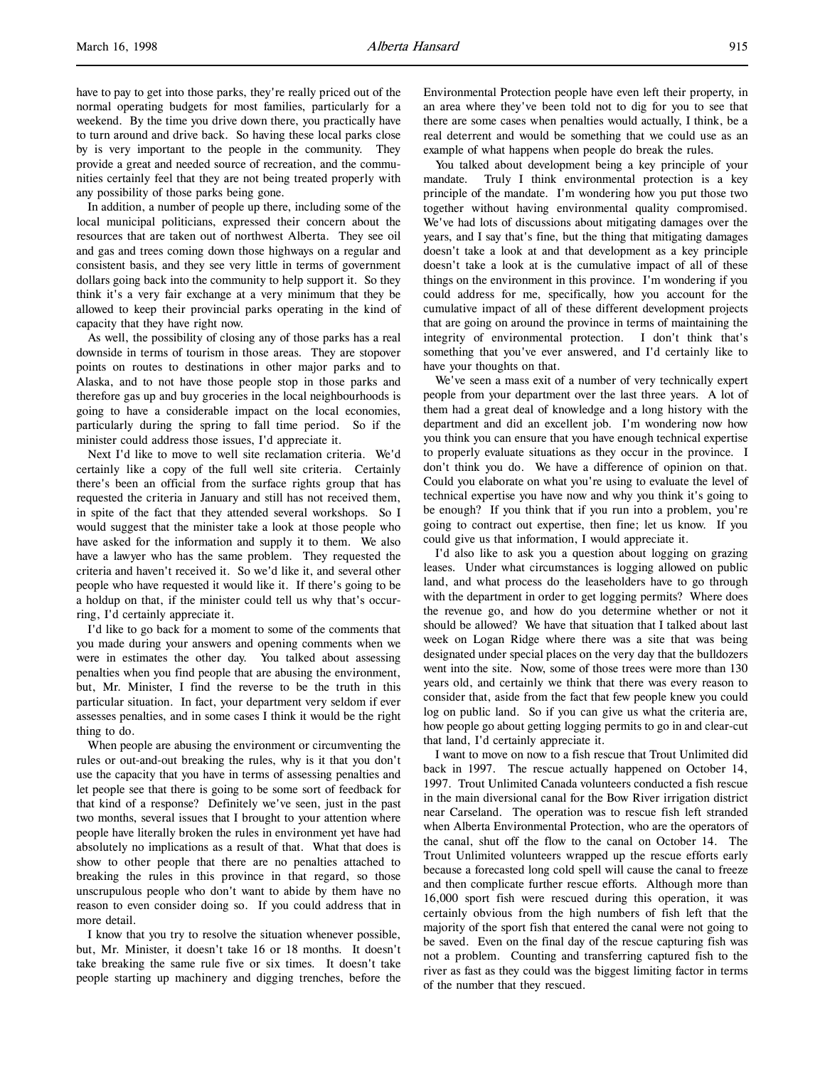have to pay to get into those parks, they're really priced out of the normal operating budgets for most families, particularly for a weekend. By the time you drive down there, you practically have to turn around and drive back. So having these local parks close by is very important to the people in the community. They provide a great and needed source of recreation, and the communities certainly feel that they are not being treated properly with any possibility of those parks being gone.

In addition, a number of people up there, including some of the local municipal politicians, expressed their concern about the resources that are taken out of northwest Alberta. They see oil and gas and trees coming down those highways on a regular and consistent basis, and they see very little in terms of government dollars going back into the community to help support it. So they think it's a very fair exchange at a very minimum that they be allowed to keep their provincial parks operating in the kind of capacity that they have right now.

As well, the possibility of closing any of those parks has a real downside in terms of tourism in those areas. They are stopover points on routes to destinations in other major parks and to Alaska, and to not have those people stop in those parks and therefore gas up and buy groceries in the local neighbourhoods is going to have a considerable impact on the local economies, particularly during the spring to fall time period. So if the minister could address those issues, I'd appreciate it.

Next I'd like to move to well site reclamation criteria. We'd certainly like a copy of the full well site criteria. Certainly there's been an official from the surface rights group that has requested the criteria in January and still has not received them, in spite of the fact that they attended several workshops. So I would suggest that the minister take a look at those people who have asked for the information and supply it to them. We also have a lawyer who has the same problem. They requested the criteria and haven't received it. So we'd like it, and several other people who have requested it would like it. If there's going to be a holdup on that, if the minister could tell us why that's occurring, I'd certainly appreciate it.

I'd like to go back for a moment to some of the comments that you made during your answers and opening comments when we were in estimates the other day. You talked about assessing penalties when you find people that are abusing the environment, but, Mr. Minister, I find the reverse to be the truth in this particular situation. In fact, your department very seldom if ever assesses penalties, and in some cases I think it would be the right thing to do.

When people are abusing the environment or circumventing the rules or out-and-out breaking the rules, why is it that you don't use the capacity that you have in terms of assessing penalties and let people see that there is going to be some sort of feedback for that kind of a response? Definitely we've seen, just in the past two months, several issues that I brought to your attention where people have literally broken the rules in environment yet have had absolutely no implications as a result of that. What that does is show to other people that there are no penalties attached to breaking the rules in this province in that regard, so those unscrupulous people who don't want to abide by them have no reason to even consider doing so. If you could address that in more detail.

I know that you try to resolve the situation whenever possible, but, Mr. Minister, it doesn't take 16 or 18 months. It doesn't take breaking the same rule five or six times. It doesn't take people starting up machinery and digging trenches, before the Environmental Protection people have even left their property, in an area where they've been told not to dig for you to see that there are some cases when penalties would actually, I think, be a real deterrent and would be something that we could use as an example of what happens when people do break the rules.

You talked about development being a key principle of your mandate. Truly I think environmental protection is a key principle of the mandate. I'm wondering how you put those two together without having environmental quality compromised. We've had lots of discussions about mitigating damages over the years, and I say that's fine, but the thing that mitigating damages doesn't take a look at and that development as a key principle doesn't take a look at is the cumulative impact of all of these things on the environment in this province. I'm wondering if you could address for me, specifically, how you account for the cumulative impact of all of these different development projects that are going on around the province in terms of maintaining the integrity of environmental protection. I don't think that's something that you've ever answered, and I'd certainly like to have your thoughts on that.

We've seen a mass exit of a number of very technically expert people from your department over the last three years. A lot of them had a great deal of knowledge and a long history with the department and did an excellent job. I'm wondering now how you think you can ensure that you have enough technical expertise to properly evaluate situations as they occur in the province. I don't think you do. We have a difference of opinion on that. Could you elaborate on what you're using to evaluate the level of technical expertise you have now and why you think it's going to be enough? If you think that if you run into a problem, you're going to contract out expertise, then fine; let us know. If you could give us that information, I would appreciate it.

I'd also like to ask you a question about logging on grazing leases. Under what circumstances is logging allowed on public land, and what process do the leaseholders have to go through with the department in order to get logging permits? Where does the revenue go, and how do you determine whether or not it should be allowed? We have that situation that I talked about last week on Logan Ridge where there was a site that was being designated under special places on the very day that the bulldozers went into the site. Now, some of those trees were more than 130 years old, and certainly we think that there was every reason to consider that, aside from the fact that few people knew you could log on public land. So if you can give us what the criteria are, how people go about getting logging permits to go in and clear-cut that land, I'd certainly appreciate it.

I want to move on now to a fish rescue that Trout Unlimited did back in 1997. The rescue actually happened on October 14, 1997. Trout Unlimited Canada volunteers conducted a fish rescue in the main diversional canal for the Bow River irrigation district near Carseland. The operation was to rescue fish left stranded when Alberta Environmental Protection, who are the operators of the canal, shut off the flow to the canal on October 14. The Trout Unlimited volunteers wrapped up the rescue efforts early because a forecasted long cold spell will cause the canal to freeze and then complicate further rescue efforts. Although more than 16,000 sport fish were rescued during this operation, it was certainly obvious from the high numbers of fish left that the majority of the sport fish that entered the canal were not going to be saved. Even on the final day of the rescue capturing fish was not a problem. Counting and transferring captured fish to the river as fast as they could was the biggest limiting factor in terms of the number that they rescued.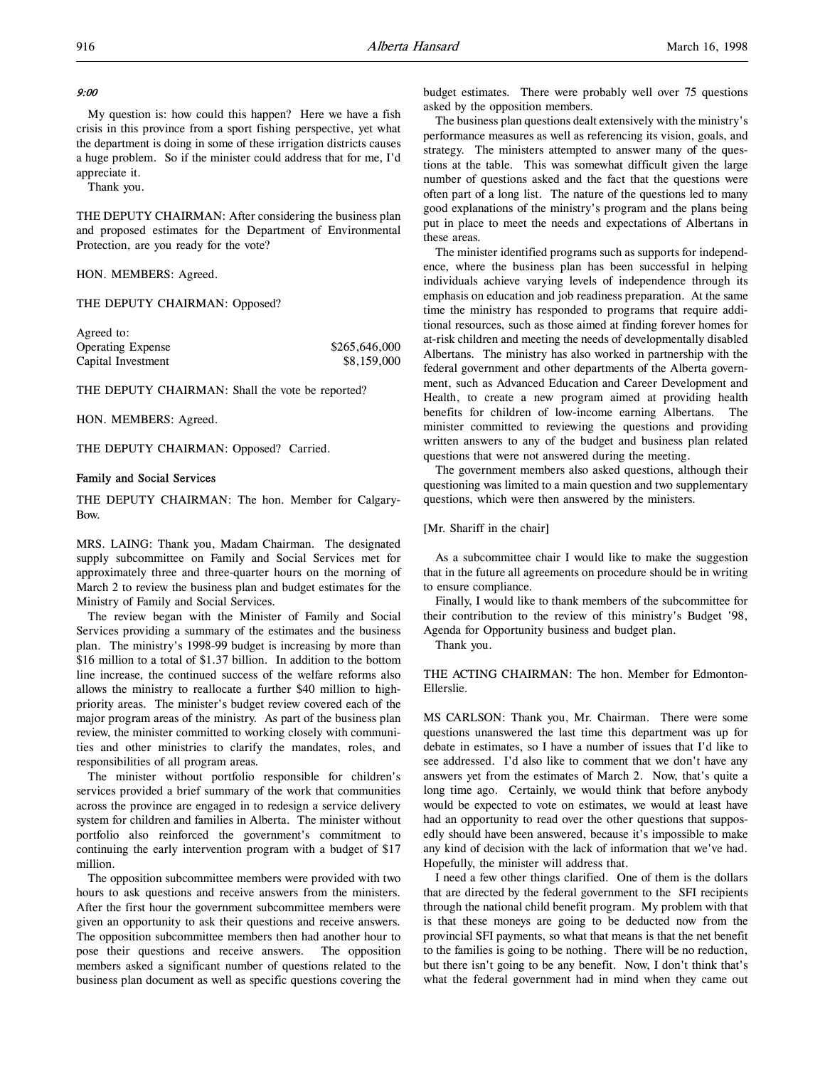# 9:00

My question is: how could this happen? Here we have a fish crisis in this province from a sport fishing perspective, yet what the department is doing in some of these irrigation districts causes a huge problem. So if the minister could address that for me, I'd appreciate it.

Thank you.

THE DEPUTY CHAIRMAN: After considering the business plan and proposed estimates for the Department of Environmental Protection, are you ready for the vote?

HON. MEMBERS: Agreed.

THE DEPUTY CHAIRMAN: Opposed?

| \$265,646,000 |
|---------------|
| \$8,159,000   |
|               |

THE DEPUTY CHAIRMAN: Shall the vote be reported?

HON. MEMBERS: Agreed.

THE DEPUTY CHAIRMAN: Opposed? Carried.

### Family and Social Services

THE DEPUTY CHAIRMAN: The hon. Member for Calgary-Bow.

MRS. LAING: Thank you, Madam Chairman. The designated supply subcommittee on Family and Social Services met for approximately three and three-quarter hours on the morning of March 2 to review the business plan and budget estimates for the Ministry of Family and Social Services.

The review began with the Minister of Family and Social Services providing a summary of the estimates and the business plan. The ministry's 1998-99 budget is increasing by more than \$16 million to a total of \$1.37 billion. In addition to the bottom line increase, the continued success of the welfare reforms also allows the ministry to reallocate a further \$40 million to highpriority areas. The minister's budget review covered each of the major program areas of the ministry. As part of the business plan review, the minister committed to working closely with communities and other ministries to clarify the mandates, roles, and responsibilities of all program areas.

The minister without portfolio responsible for children's services provided a brief summary of the work that communities across the province are engaged in to redesign a service delivery system for children and families in Alberta. The minister without portfolio also reinforced the government's commitment to continuing the early intervention program with a budget of \$17 million.

The opposition subcommittee members were provided with two hours to ask questions and receive answers from the ministers. After the first hour the government subcommittee members were given an opportunity to ask their questions and receive answers. The opposition subcommittee members then had another hour to pose their questions and receive answers. The opposition members asked a significant number of questions related to the business plan document as well as specific questions covering the

budget estimates. There were probably well over 75 questions asked by the opposition members.

The business plan questions dealt extensively with the ministry's performance measures as well as referencing its vision, goals, and strategy. The ministers attempted to answer many of the questions at the table. This was somewhat difficult given the large number of questions asked and the fact that the questions were often part of a long list. The nature of the questions led to many good explanations of the ministry's program and the plans being put in place to meet the needs and expectations of Albertans in these areas.

The minister identified programs such as supports for independence, where the business plan has been successful in helping individuals achieve varying levels of independence through its emphasis on education and job readiness preparation. At the same time the ministry has responded to programs that require additional resources, such as those aimed at finding forever homes for at-risk children and meeting the needs of developmentally disabled Albertans. The ministry has also worked in partnership with the federal government and other departments of the Alberta government, such as Advanced Education and Career Development and Health, to create a new program aimed at providing health benefits for children of low-income earning Albertans. The minister committed to reviewing the questions and providing written answers to any of the budget and business plan related questions that were not answered during the meeting.

The government members also asked questions, although their questioning was limited to a main question and two supplementary questions, which were then answered by the ministers.

### [Mr. Shariff in the chair]

As a subcommittee chair I would like to make the suggestion that in the future all agreements on procedure should be in writing to ensure compliance.

Finally, I would like to thank members of the subcommittee for their contribution to the review of this ministry's Budget '98, Agenda for Opportunity business and budget plan.

Thank you.

THE ACTING CHAIRMAN: The hon. Member for Edmonton-Ellerslie.

MS CARLSON: Thank you, Mr. Chairman. There were some questions unanswered the last time this department was up for debate in estimates, so I have a number of issues that I'd like to see addressed. I'd also like to comment that we don't have any answers yet from the estimates of March 2. Now, that's quite a long time ago. Certainly, we would think that before anybody would be expected to vote on estimates, we would at least have had an opportunity to read over the other questions that supposedly should have been answered, because it's impossible to make any kind of decision with the lack of information that we've had. Hopefully, the minister will address that.

I need a few other things clarified. One of them is the dollars that are directed by the federal government to the SFI recipients through the national child benefit program. My problem with that is that these moneys are going to be deducted now from the provincial SFI payments, so what that means is that the net benefit to the families is going to be nothing. There will be no reduction, but there isn't going to be any benefit. Now, I don't think that's what the federal government had in mind when they came out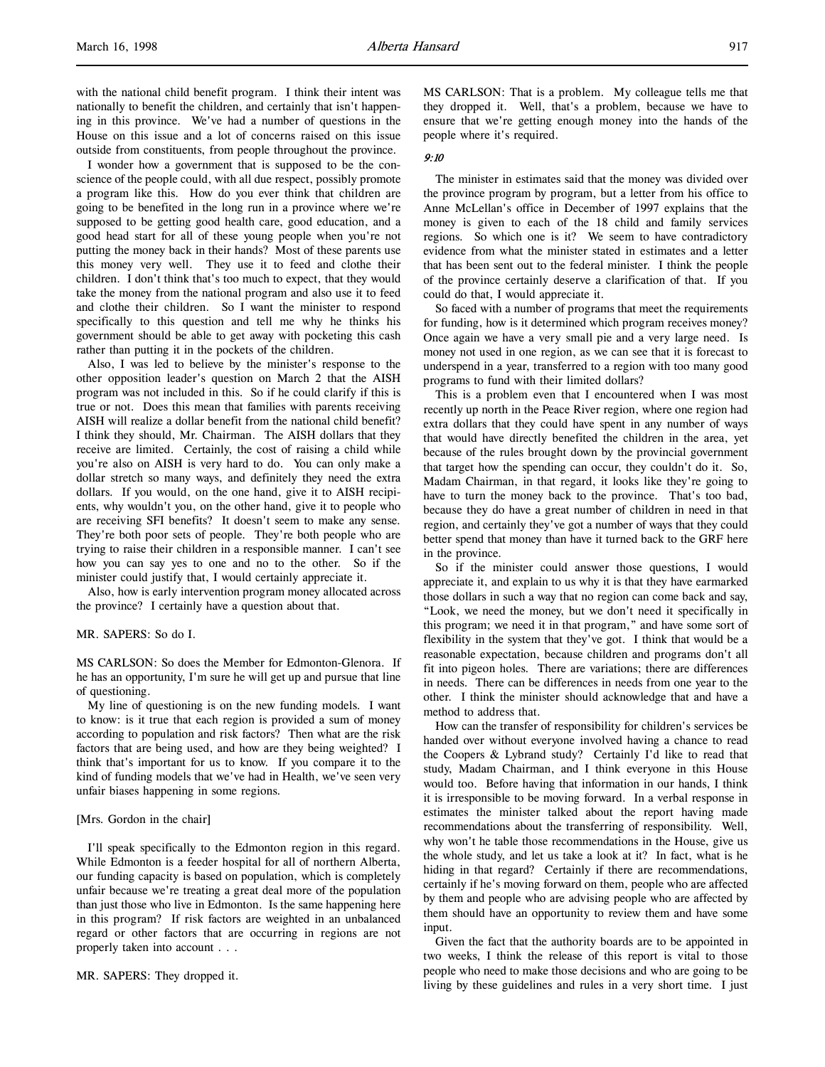with the national child benefit program. I think their intent was nationally to benefit the children, and certainly that isn't happening in this province. We've had a number of questions in the House on this issue and a lot of concerns raised on this issue outside from constituents, from people throughout the province.

I wonder how a government that is supposed to be the conscience of the people could, with all due respect, possibly promote a program like this. How do you ever think that children are going to be benefited in the long run in a province where we're supposed to be getting good health care, good education, and a good head start for all of these young people when you're not putting the money back in their hands? Most of these parents use this money very well. They use it to feed and clothe their children. I don't think that's too much to expect, that they would take the money from the national program and also use it to feed and clothe their children. So I want the minister to respond specifically to this question and tell me why he thinks his government should be able to get away with pocketing this cash rather than putting it in the pockets of the children.

Also, I was led to believe by the minister's response to the other opposition leader's question on March 2 that the AISH program was not included in this. So if he could clarify if this is true or not. Does this mean that families with parents receiving AISH will realize a dollar benefit from the national child benefit? I think they should, Mr. Chairman. The AISH dollars that they receive are limited. Certainly, the cost of raising a child while you're also on AISH is very hard to do. You can only make a dollar stretch so many ways, and definitely they need the extra dollars. If you would, on the one hand, give it to AISH recipients, why wouldn't you, on the other hand, give it to people who are receiving SFI benefits? It doesn't seem to make any sense. They're both poor sets of people. They're both people who are trying to raise their children in a responsible manner. I can't see how you can say yes to one and no to the other. So if the minister could justify that, I would certainly appreciate it.

Also, how is early intervention program money allocated across the province? I certainly have a question about that.

MR. SAPERS: So do I.

MS CARLSON: So does the Member for Edmonton-Glenora. If he has an opportunity, I'm sure he will get up and pursue that line of questioning.

My line of questioning is on the new funding models. I want to know: is it true that each region is provided a sum of money according to population and risk factors? Then what are the risk factors that are being used, and how are they being weighted? I think that's important for us to know. If you compare it to the kind of funding models that we've had in Health, we've seen very unfair biases happening in some regions.

### [Mrs. Gordon in the chair]

I'll speak specifically to the Edmonton region in this regard. While Edmonton is a feeder hospital for all of northern Alberta, our funding capacity is based on population, which is completely unfair because we're treating a great deal more of the population than just those who live in Edmonton. Is the same happening here in this program? If risk factors are weighted in an unbalanced regard or other factors that are occurring in regions are not properly taken into account . . .

MR. SAPERS: They dropped it.

MS CARLSON: That is a problem. My colleague tells me that they dropped it. Well, that's a problem, because we have to ensure that we're getting enough money into the hands of the people where it's required.

# 9:10

The minister in estimates said that the money was divided over the province program by program, but a letter from his office to Anne McLellan's office in December of 1997 explains that the money is given to each of the 18 child and family services regions. So which one is it? We seem to have contradictory evidence from what the minister stated in estimates and a letter that has been sent out to the federal minister. I think the people of the province certainly deserve a clarification of that. If you could do that, I would appreciate it.

So faced with a number of programs that meet the requirements for funding, how is it determined which program receives money? Once again we have a very small pie and a very large need. Is money not used in one region, as we can see that it is forecast to underspend in a year, transferred to a region with too many good programs to fund with their limited dollars?

This is a problem even that I encountered when I was most recently up north in the Peace River region, where one region had extra dollars that they could have spent in any number of ways that would have directly benefited the children in the area, yet because of the rules brought down by the provincial government that target how the spending can occur, they couldn't do it. So, Madam Chairman, in that regard, it looks like they're going to have to turn the money back to the province. That's too bad, because they do have a great number of children in need in that region, and certainly they've got a number of ways that they could better spend that money than have it turned back to the GRF here in the province.

So if the minister could answer those questions, I would appreciate it, and explain to us why it is that they have earmarked those dollars in such a way that no region can come back and say, "Look, we need the money, but we don't need it specifically in this program; we need it in that program," and have some sort of flexibility in the system that they've got. I think that would be a reasonable expectation, because children and programs don't all fit into pigeon holes. There are variations; there are differences in needs. There can be differences in needs from one year to the other. I think the minister should acknowledge that and have a method to address that.

How can the transfer of responsibility for children's services be handed over without everyone involved having a chance to read the Coopers & Lybrand study? Certainly I'd like to read that study, Madam Chairman, and I think everyone in this House would too. Before having that information in our hands, I think it is irresponsible to be moving forward. In a verbal response in estimates the minister talked about the report having made recommendations about the transferring of responsibility. Well, why won't he table those recommendations in the House, give us the whole study, and let us take a look at it? In fact, what is he hiding in that regard? Certainly if there are recommendations, certainly if he's moving forward on them, people who are affected by them and people who are advising people who are affected by them should have an opportunity to review them and have some input.

Given the fact that the authority boards are to be appointed in two weeks, I think the release of this report is vital to those people who need to make those decisions and who are going to be living by these guidelines and rules in a very short time. I just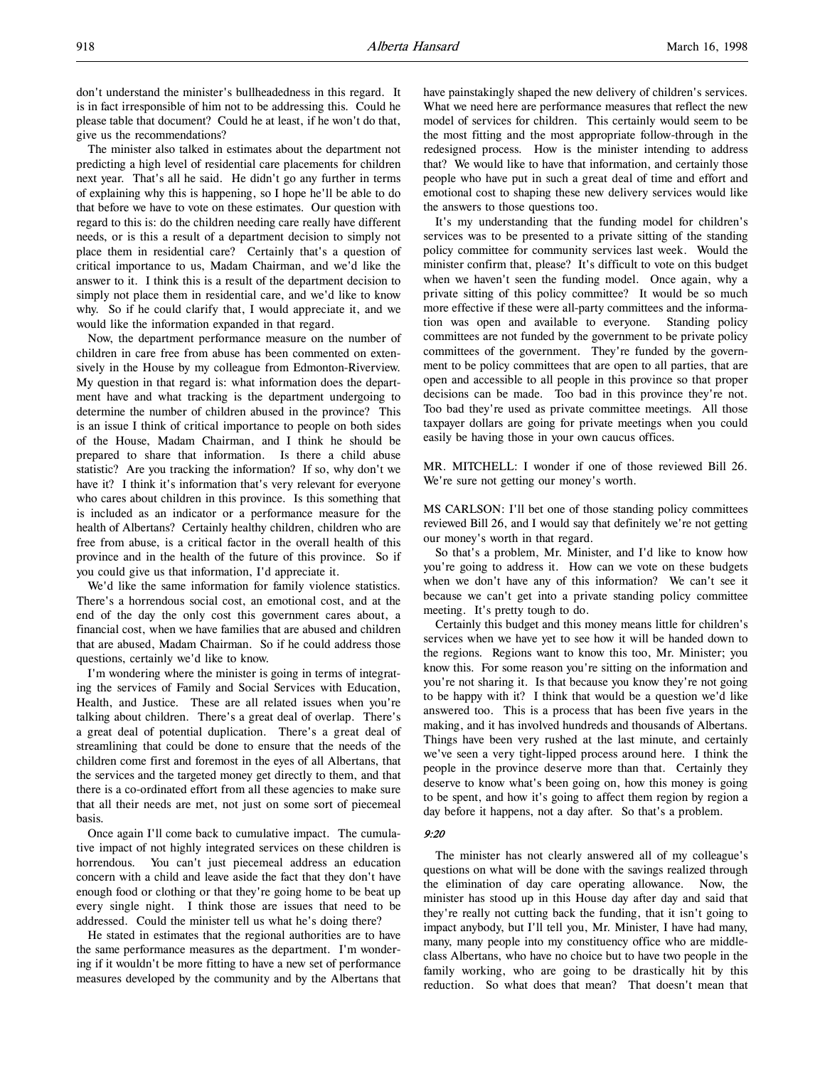don't understand the minister's bullheadedness in this regard. It is in fact irresponsible of him not to be addressing this. Could he please table that document? Could he at least, if he won't do that, give us the recommendations?

The minister also talked in estimates about the department not predicting a high level of residential care placements for children next year. That's all he said. He didn't go any further in terms of explaining why this is happening, so I hope he'll be able to do that before we have to vote on these estimates. Our question with regard to this is: do the children needing care really have different needs, or is this a result of a department decision to simply not place them in residential care? Certainly that's a question of critical importance to us, Madam Chairman, and we'd like the answer to it. I think this is a result of the department decision to simply not place them in residential care, and we'd like to know why. So if he could clarify that, I would appreciate it, and we would like the information expanded in that regard.

Now, the department performance measure on the number of children in care free from abuse has been commented on extensively in the House by my colleague from Edmonton-Riverview. My question in that regard is: what information does the department have and what tracking is the department undergoing to determine the number of children abused in the province? This is an issue I think of critical importance to people on both sides of the House, Madam Chairman, and I think he should be prepared to share that information. Is there a child abuse statistic? Are you tracking the information? If so, why don't we have it? I think it's information that's very relevant for everyone who cares about children in this province. Is this something that is included as an indicator or a performance measure for the health of Albertans? Certainly healthy children, children who are free from abuse, is a critical factor in the overall health of this province and in the health of the future of this province. So if you could give us that information, I'd appreciate it.

We'd like the same information for family violence statistics. There's a horrendous social cost, an emotional cost, and at the end of the day the only cost this government cares about, a financial cost, when we have families that are abused and children that are abused, Madam Chairman. So if he could address those questions, certainly we'd like to know.

I'm wondering where the minister is going in terms of integrating the services of Family and Social Services with Education, Health, and Justice. These are all related issues when you're talking about children. There's a great deal of overlap. There's a great deal of potential duplication. There's a great deal of streamlining that could be done to ensure that the needs of the children come first and foremost in the eyes of all Albertans, that the services and the targeted money get directly to them, and that there is a co-ordinated effort from all these agencies to make sure that all their needs are met, not just on some sort of piecemeal basis.

Once again I'll come back to cumulative impact. The cumulative impact of not highly integrated services on these children is horrendous. You can't just piecemeal address an education concern with a child and leave aside the fact that they don't have enough food or clothing or that they're going home to be beat up every single night. I think those are issues that need to be addressed. Could the minister tell us what he's doing there?

He stated in estimates that the regional authorities are to have the same performance measures as the department. I'm wondering if it wouldn't be more fitting to have a new set of performance measures developed by the community and by the Albertans that have painstakingly shaped the new delivery of children's services. What we need here are performance measures that reflect the new model of services for children. This certainly would seem to be the most fitting and the most appropriate follow-through in the redesigned process. How is the minister intending to address that? We would like to have that information, and certainly those people who have put in such a great deal of time and effort and emotional cost to shaping these new delivery services would like the answers to those questions too.

It's my understanding that the funding model for children's services was to be presented to a private sitting of the standing policy committee for community services last week. Would the minister confirm that, please? It's difficult to vote on this budget when we haven't seen the funding model. Once again, why a private sitting of this policy committee? It would be so much more effective if these were all-party committees and the information was open and available to everyone. Standing policy committees are not funded by the government to be private policy committees of the government. They're funded by the government to be policy committees that are open to all parties, that are open and accessible to all people in this province so that proper decisions can be made. Too bad in this province they're not. Too bad they're used as private committee meetings. All those taxpayer dollars are going for private meetings when you could easily be having those in your own caucus offices.

MR. MITCHELL: I wonder if one of those reviewed Bill 26. We're sure not getting our money's worth.

MS CARLSON: I'll bet one of those standing policy committees reviewed Bill 26, and I would say that definitely we're not getting our money's worth in that regard.

So that's a problem, Mr. Minister, and I'd like to know how you're going to address it. How can we vote on these budgets when we don't have any of this information? We can't see it because we can't get into a private standing policy committee meeting. It's pretty tough to do.

Certainly this budget and this money means little for children's services when we have yet to see how it will be handed down to the regions. Regions want to know this too, Mr. Minister; you know this. For some reason you're sitting on the information and you're not sharing it. Is that because you know they're not going to be happy with it? I think that would be a question we'd like answered too. This is a process that has been five years in the making, and it has involved hundreds and thousands of Albertans. Things have been very rushed at the last minute, and certainly we've seen a very tight-lipped process around here. I think the people in the province deserve more than that. Certainly they deserve to know what's been going on, how this money is going to be spent, and how it's going to affect them region by region a day before it happens, not a day after. So that's a problem.

### 9:20

The minister has not clearly answered all of my colleague's questions on what will be done with the savings realized through the elimination of day care operating allowance. Now, the minister has stood up in this House day after day and said that they're really not cutting back the funding, that it isn't going to impact anybody, but I'll tell you, Mr. Minister, I have had many, many, many people into my constituency office who are middleclass Albertans, who have no choice but to have two people in the family working, who are going to be drastically hit by this reduction. So what does that mean? That doesn't mean that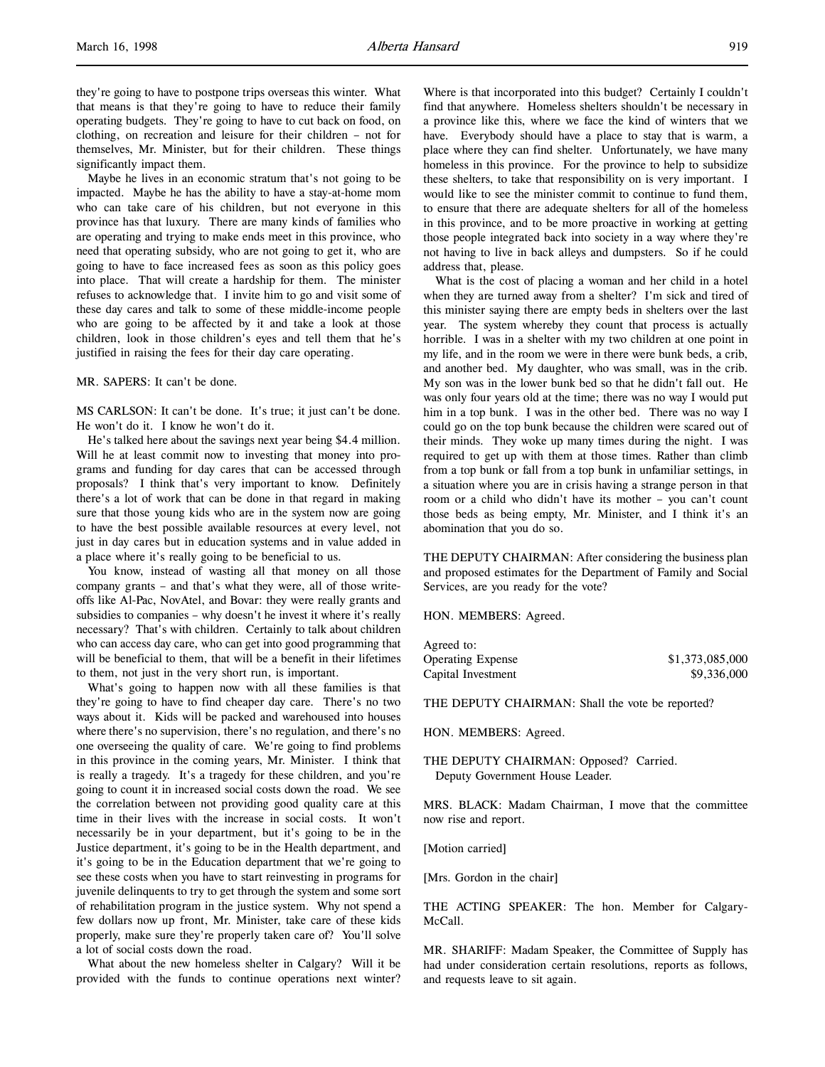they're going to have to postpone trips overseas this winter. What that means is that they're going to have to reduce their family operating budgets. They're going to have to cut back on food, on clothing, on recreation and leisure for their children – not for themselves, Mr. Minister, but for their children. These things significantly impact them.

Maybe he lives in an economic stratum that's not going to be impacted. Maybe he has the ability to have a stay-at-home mom who can take care of his children, but not everyone in this province has that luxury. There are many kinds of families who are operating and trying to make ends meet in this province, who need that operating subsidy, who are not going to get it, who are going to have to face increased fees as soon as this policy goes into place. That will create a hardship for them. The minister refuses to acknowledge that. I invite him to go and visit some of these day cares and talk to some of these middle-income people who are going to be affected by it and take a look at those children, look in those children's eyes and tell them that he's justified in raising the fees for their day care operating.

MR. SAPERS: It can't be done.

MS CARLSON: It can't be done. It's true; it just can't be done. He won't do it. I know he won't do it.

He's talked here about the savings next year being \$4.4 million. Will he at least commit now to investing that money into programs and funding for day cares that can be accessed through proposals? I think that's very important to know. Definitely there's a lot of work that can be done in that regard in making sure that those young kids who are in the system now are going to have the best possible available resources at every level, not just in day cares but in education systems and in value added in a place where it's really going to be beneficial to us.

You know, instead of wasting all that money on all those company grants – and that's what they were, all of those writeoffs like Al-Pac, NovAtel, and Bovar: they were really grants and subsidies to companies – why doesn't he invest it where it's really necessary? That's with children. Certainly to talk about children who can access day care, who can get into good programming that will be beneficial to them, that will be a benefit in their lifetimes to them, not just in the very short run, is important.

What's going to happen now with all these families is that they're going to have to find cheaper day care. There's no two ways about it. Kids will be packed and warehoused into houses where there's no supervision, there's no regulation, and there's no one overseeing the quality of care. We're going to find problems in this province in the coming years, Mr. Minister. I think that is really a tragedy. It's a tragedy for these children, and you're going to count it in increased social costs down the road. We see the correlation between not providing good quality care at this time in their lives with the increase in social costs. It won't necessarily be in your department, but it's going to be in the Justice department, it's going to be in the Health department, and it's going to be in the Education department that we're going to see these costs when you have to start reinvesting in programs for juvenile delinquents to try to get through the system and some sort of rehabilitation program in the justice system. Why not spend a few dollars now up front, Mr. Minister, take care of these kids properly, make sure they're properly taken care of? You'll solve a lot of social costs down the road.

What about the new homeless shelter in Calgary? Will it be provided with the funds to continue operations next winter?

Where is that incorporated into this budget? Certainly I couldn't find that anywhere. Homeless shelters shouldn't be necessary in a province like this, where we face the kind of winters that we have. Everybody should have a place to stay that is warm, a place where they can find shelter. Unfortunately, we have many homeless in this province. For the province to help to subsidize these shelters, to take that responsibility on is very important. I would like to see the minister commit to continue to fund them, to ensure that there are adequate shelters for all of the homeless in this province, and to be more proactive in working at getting those people integrated back into society in a way where they're not having to live in back alleys and dumpsters. So if he could address that, please.

What is the cost of placing a woman and her child in a hotel when they are turned away from a shelter? I'm sick and tired of this minister saying there are empty beds in shelters over the last year. The system whereby they count that process is actually horrible. I was in a shelter with my two children at one point in my life, and in the room we were in there were bunk beds, a crib, and another bed. My daughter, who was small, was in the crib. My son was in the lower bunk bed so that he didn't fall out. He was only four years old at the time; there was no way I would put him in a top bunk. I was in the other bed. There was no way I could go on the top bunk because the children were scared out of their minds. They woke up many times during the night. I was required to get up with them at those times. Rather than climb from a top bunk or fall from a top bunk in unfamiliar settings, in a situation where you are in crisis having a strange person in that room or a child who didn't have its mother – you can't count those beds as being empty, Mr. Minister, and I think it's an abomination that you do so.

THE DEPUTY CHAIRMAN: After considering the business plan and proposed estimates for the Department of Family and Social Services, are you ready for the vote?

HON. MEMBERS: Agreed.

| Agreed to:               |                 |
|--------------------------|-----------------|
| <b>Operating Expense</b> | \$1,373,085,000 |
| Capital Investment       | \$9,336,000     |

THE DEPUTY CHAIRMAN: Shall the vote be reported?

HON. MEMBERS: Agreed.

THE DEPUTY CHAIRMAN: Opposed? Carried. Deputy Government House Leader.

MRS. BLACK: Madam Chairman, I move that the committee now rise and report.

[Motion carried]

[Mrs. Gordon in the chair]

THE ACTING SPEAKER: The hon. Member for Calgary-McCall.

MR. SHARIFF: Madam Speaker, the Committee of Supply has had under consideration certain resolutions, reports as follows, and requests leave to sit again.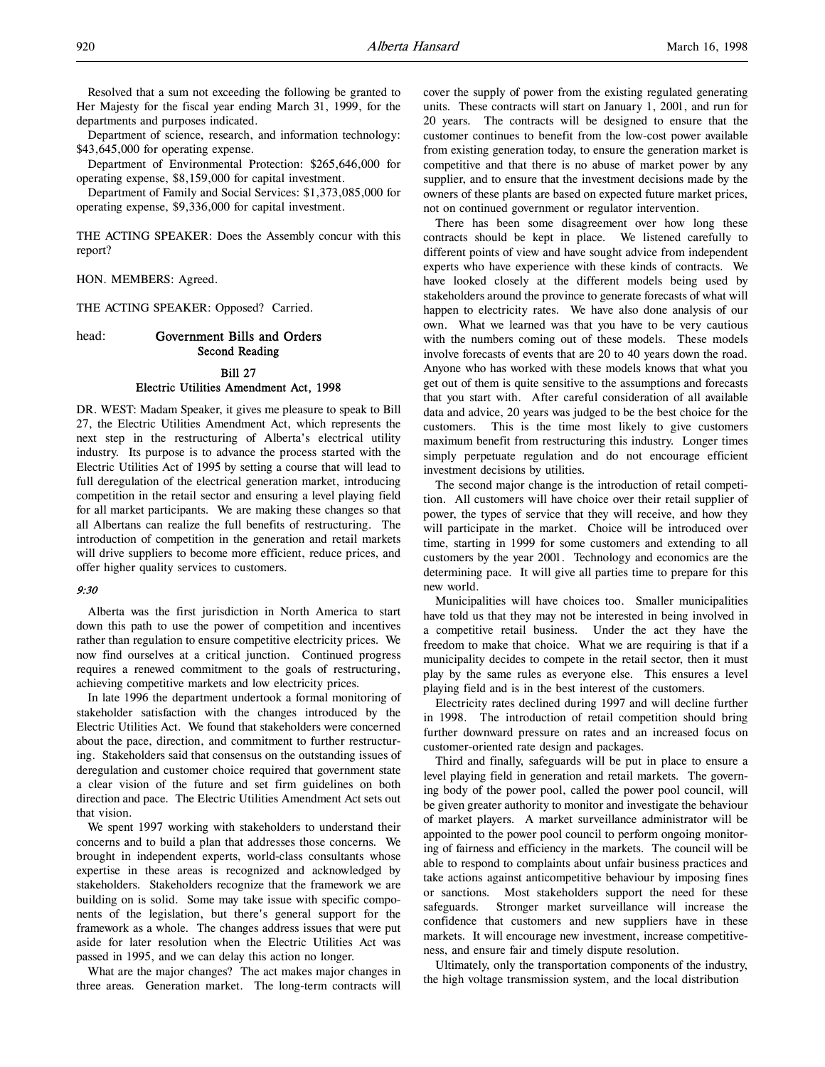Resolved that a sum not exceeding the following be granted to Her Majesty for the fiscal year ending March 31, 1999, for the departments and purposes indicated.

Department of science, research, and information technology: \$43,645,000 for operating expense.

Department of Environmental Protection: \$265,646,000 for operating expense, \$8,159,000 for capital investment.

Department of Family and Social Services: \$1,373,085,000 for operating expense, \$9,336,000 for capital investment.

THE ACTING SPEAKER: Does the Assembly concur with this report?

HON. MEMBERS: Agreed.

THE ACTING SPEAKER: Opposed? Carried.

# head: Government Bills and Orders Second Reading

# Bill 27

# Electric Utilities Amendment Act, 1998

DR. WEST: Madam Speaker, it gives me pleasure to speak to Bill 27, the Electric Utilities Amendment Act, which represents the next step in the restructuring of Alberta's electrical utility industry. Its purpose is to advance the process started with the Electric Utilities Act of 1995 by setting a course that will lead to full deregulation of the electrical generation market, introducing competition in the retail sector and ensuring a level playing field for all market participants. We are making these changes so that all Albertans can realize the full benefits of restructuring. The introduction of competition in the generation and retail markets will drive suppliers to become more efficient, reduce prices, and offer higher quality services to customers.

### 9:30

Alberta was the first jurisdiction in North America to start down this path to use the power of competition and incentives rather than regulation to ensure competitive electricity prices. We now find ourselves at a critical junction. Continued progress requires a renewed commitment to the goals of restructuring, achieving competitive markets and low electricity prices.

In late 1996 the department undertook a formal monitoring of stakeholder satisfaction with the changes introduced by the Electric Utilities Act. We found that stakeholders were concerned about the pace, direction, and commitment to further restructuring. Stakeholders said that consensus on the outstanding issues of deregulation and customer choice required that government state a clear vision of the future and set firm guidelines on both direction and pace. The Electric Utilities Amendment Act sets out that vision.

We spent 1997 working with stakeholders to understand their concerns and to build a plan that addresses those concerns. We brought in independent experts, world-class consultants whose expertise in these areas is recognized and acknowledged by stakeholders. Stakeholders recognize that the framework we are building on is solid. Some may take issue with specific components of the legislation, but there's general support for the framework as a whole. The changes address issues that were put aside for later resolution when the Electric Utilities Act was passed in 1995, and we can delay this action no longer.

What are the major changes? The act makes major changes in three areas. Generation market. The long-term contracts will

cover the supply of power from the existing regulated generating units. These contracts will start on January 1, 2001, and run for 20 years. The contracts will be designed to ensure that the customer continues to benefit from the low-cost power available from existing generation today, to ensure the generation market is competitive and that there is no abuse of market power by any supplier, and to ensure that the investment decisions made by the owners of these plants are based on expected future market prices, not on continued government or regulator intervention.

There has been some disagreement over how long these contracts should be kept in place. We listened carefully to different points of view and have sought advice from independent experts who have experience with these kinds of contracts. We have looked closely at the different models being used by stakeholders around the province to generate forecasts of what will happen to electricity rates. We have also done analysis of our own. What we learned was that you have to be very cautious with the numbers coming out of these models. These models involve forecasts of events that are 20 to 40 years down the road. Anyone who has worked with these models knows that what you get out of them is quite sensitive to the assumptions and forecasts that you start with. After careful consideration of all available data and advice, 20 years was judged to be the best choice for the customers. This is the time most likely to give customers maximum benefit from restructuring this industry. Longer times simply perpetuate regulation and do not encourage efficient investment decisions by utilities.

The second major change is the introduction of retail competition. All customers will have choice over their retail supplier of power, the types of service that they will receive, and how they will participate in the market. Choice will be introduced over time, starting in 1999 for some customers and extending to all customers by the year 2001. Technology and economics are the determining pace. It will give all parties time to prepare for this new world.

Municipalities will have choices too. Smaller municipalities have told us that they may not be interested in being involved in a competitive retail business. Under the act they have the freedom to make that choice. What we are requiring is that if a municipality decides to compete in the retail sector, then it must play by the same rules as everyone else. This ensures a level playing field and is in the best interest of the customers.

Electricity rates declined during 1997 and will decline further in 1998. The introduction of retail competition should bring further downward pressure on rates and an increased focus on customer-oriented rate design and packages.

Third and finally, safeguards will be put in place to ensure a level playing field in generation and retail markets. The governing body of the power pool, called the power pool council, will be given greater authority to monitor and investigate the behaviour of market players. A market surveillance administrator will be appointed to the power pool council to perform ongoing monitoring of fairness and efficiency in the markets. The council will be able to respond to complaints about unfair business practices and take actions against anticompetitive behaviour by imposing fines or sanctions. Most stakeholders support the need for these safeguards. Stronger market surveillance will increase the confidence that customers and new suppliers have in these markets. It will encourage new investment, increase competitiveness, and ensure fair and timely dispute resolution.

Ultimately, only the transportation components of the industry, the high voltage transmission system, and the local distribution